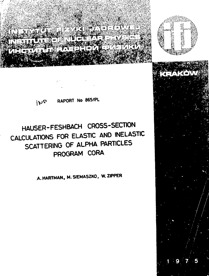WEBSTER THE REPORT OF THE REPORT **ANTISETY** 



**RAPORT No 865/PL**

# **HAUSER-FESHBACH CROSS-SECTION CALCULATIONS FOR ELASTIC AND INELASTIC SCATTERING OF ALPHA PARTICLES PROGRAM CORA**

**A.HARTMAN» M.SIEMASZKO. W. ZIPPER**

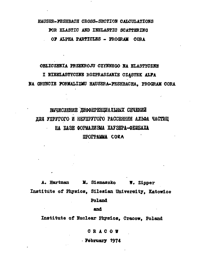## HAUSER-FESHBACH CROSS-SECTION CALCULATIONS FOR ELASTIC AND INELASTIC SCATTERING OF ALPHA PARTICLES - PROGRAM CORA

#### OBLICZENIA PRZEKROJU CZYNNEGO NA ELASTYCZNE

I NIEELASTYCZNE ROZPRASZANIE CZĄSTEK ALFA NA GRUNCIE FORMALIZMU HAUSERA-PESHBACHA, PROGRAM CORA

## ВЫЧИСЛЕНИЕ ДИФФЕРЕНЦИАЛЬНЫХ СЕЧЕНИЙ ЛЛЯ УПРУГОГО И НЕУПРУГОГО РАССЕЯНИЯ АЛЬФА ЧАСТИЦ **НА БАЗЕ ФОРМАЛИЗМА ХАУЗЕРА-ФЕШБАХА ПРОГРАММА СОКА**

A. Hartman M. Siemaszko W. Zipper Institute of Physics, Silesian University, Katowice

Poland

**and**

Institute of Nuclear Physics, Cracow, Poland

**CRACO W**

**February 1974**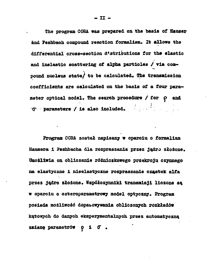**The program CORA «as prepared on the basis of Hauser** and Feshbach compound reaction formalism. It allows the **differential cross-section distributions for the elastio and inelastic scattering of alpha particles / via com pound nucleus state/ to be calculated. The transmission coefficients are calculated on the basis of a four para meter optical model. The search prooedure / for** *ę* **and G\* parameters / is also included. , '**

Program CORA został napisany w oparciu o formalizm **Hausera i Feshbacha dla rozpraszania przez jądro złożone. Umożliwia on obliczanie różniczkowego przekroju czynnego na elastyczne i nieelastyczne rozpraszanie cząstek alfa przez jądro złożone. Współczynniki transmisji liczone s w oparciu o ozteroparametrowy model optyczny. Program posiada możliwoś dopasowywania obliczonych rozkładów kątowych do danych eksperymentalnych przez automatyczn** zmianę parametrów **o i**  $\sigma$ .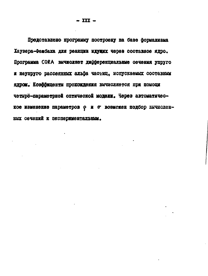Представлено программу построену на базе формализма Хаузера-Фенбаха для реакции идуних через составное ядро. Программа CORA вычисляет дифференциальные сечения упруго и неупруго рассеянных альфа частиц, испускаемых составным яном. Козффиценты прохождения вычисляется при помощи четырё-параметрной оптической модели. Через автоматическое изменение параметров с и о возможен подбор вычисленных сечений к экспериментальным.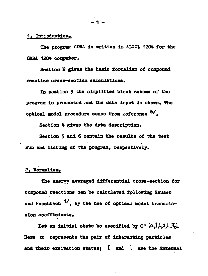#### 1. Introduction.

**The program CORA ia written in ALGOL 1204 for the QDBA 1204 computer.**

**Section 2 gives the basic formalism of compound reaction oroaa-seotion calculations.**

**In section 3 the simplified block scheme of the** program is presented and the data input is shown. The optical model procedure comes from reference  $5/$ .

Section 4 gives the data description.

**Section 5 and б contain the results of the test run and listing of the program, respectively.**

#### 2. Pormalism.

**The energy averaged differential cross-section for compound reactions can be calculated following Hauser** and Feschbach  $1/$ , by the use of optical model transmission coefficients.

Let an initial state be specified by  $C = (\alpha, \hat{I}, i, 5, i, \hat{J}_c)$ . Here  $\alpha$  represents the pair of interacting particles and their excitation states; I and i are the internal

 **1 -**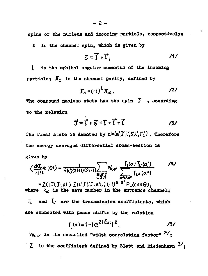spins of the nucleus and incoming particle, respectively;

is the channel spin. which is given by S.

$$
\vec{5} = \vec{1} + \vec{1}, \qquad \qquad \qquad \text{11}
$$

is the orbital angular momentum of the incoming  $\mathbf{L}$ particle;  $\mathbf{J}_c$  is the channel parity, defined by

$$
\mathfrak{J}_{\mathbb{C}} = (-1)^{\mathfrak{t}} \mathfrak{J}_{\alpha} .
$$

The compound nucleus stete has the spin  $J$ , according to the relation

$$
\vec{J} = \vec{l} + \vec{S} = \vec{l} + \vec{l} + \vec{l}
$$

The final state is denoted by  $C'=(\alpha'_1I'_1i'_2S'_1L'_1,\Pi'_2)$ . Therefore the energy averaged differential cross-section is given by

$$
\langle \frac{dG_{\alpha\alpha'}}{d\Omega}(\theta) \rangle = \frac{1}{4k_{\alpha}^{2}(2I+I)(2i+I)} \sum_{\substack{S \subseteq I \\ S \neq I \\ S}} W_{CC'} \frac{I_{L}(\alpha) I_{L'}(\alpha')}{\sum_{\substack{S \subseteq I \\ S \neq I \\ S}} I_{L''}(\alpha'')} \qquad \frac{1}{\Delta} \left( \frac{1}{\alpha} \right) \left( \frac{1}{\alpha} \right) \left( \frac{1}{\alpha} \right) \left( \frac{1}{\alpha} \right) \left( \frac{1}{\alpha} \right) \left( \frac{1}{\alpha} \right) \left( \frac{1}{\alpha} \right) \left( \frac{1}{\alpha} \right) \left( \frac{1}{\alpha} \right) \left( \frac{1}{\alpha} \right) \left( \frac{1}{\alpha} \right) \left( \frac{1}{\alpha} \right) \left( \frac{1}{\alpha} \right) \left( \frac{1}{\alpha} \right) \left( \frac{1}{\alpha} \right) \left( \frac{1}{\alpha} \right) \left( \frac{1}{\alpha} \right) \left( \frac{1}{\alpha} \right) \left( \frac{1}{\alpha} \right) \left( \frac{1}{\alpha} \right) \left( \frac{1}{\alpha} \right) \left( \frac{1}{\alpha} \right) \left( \frac{1}{\alpha} \right) \left( \frac{1}{\alpha} \right) \left( \frac{1}{\alpha} \right) \left( \frac{1}{\alpha} \right) \left( \frac{1}{\alpha} \right) \left( \frac{1}{\alpha} \right) \left( \frac{1}{\alpha} \right) \left( \frac{1}{\alpha} \right) \left( \frac{1}{\alpha} \right) \left( \frac{1}{\alpha} \right) \left( \frac{1}{\alpha} \right) \left( \frac{1}{\alpha} \right) \left( \frac{1}{\alpha} \right) \left( \frac{1}{\alpha} \right) \left( \frac{1}{\alpha} \right) \left( \frac{1}{\alpha} \right) \left( \frac{1}{\alpha} \right) \left( \frac{1}{\alpha} \right) \left( \frac{1}{\alpha} \right) \left( \frac{1}{\alpha} \right) \left( \frac{1}{\alpha} \right) \left( \frac{1}{\alpha} \right) \left( \frac{1}{\alpha} \right)
$$

$$
T_{L}(\alpha) = 1 - |e^{2i\delta_{\alpha i}}|^{2}.
$$

 $W_{CC'}$  is the so-called "width correlation factor"  $2'$ : Z is the coefficient defined by Blatt and Biedenharn  $3/$ ;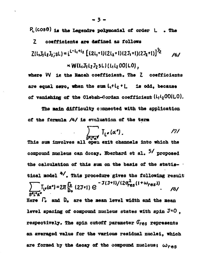**Pc(cos6) is the Legendre polynomial of order L • The**

#### **Z coefficient» are defined aa foliowa**

$$
Z(L_1J_1L_2J_2;SL) = i^{L-L_1+L_2} \left[ (2L_1+1)(2L_2+1)(2J_1+1)(2J_2+1) \right]^{J_2} \times W(L_1J_1L_2J_2SL) \left( L_1L_2[00|LO] \right)
$$

where W is the Racah coefficient. The Z coefficients **are equal zero, «ben the sum LtHi <sup>+</sup> L is odd, becauae** of vanishing of the Clebsh-Gordan coefficient ( $L_1L_2OO|LO$ ).

**The aain difficulty connected with the application** of the formula /4/ is evaluation of the term

$$
\int_{S^2\Gamma^2\alpha^2} \mathcal{T}_{\Gamma^*}(\alpha^*) \qquad \qquad \qquad \text{177}
$$

This sum involves all open exit channels into which the compound nucleus can decay. Eberhard et al. <sup>5/</sup> proposed the calculation of this sum on the basis of the statis**tical nodel 4/'. This procedure gives the following result** /8/ **3'l'**<br>. **Here П» and D» are the aean level width and the mean** level spacing of compound nucleus states with spin  $J = 0$ . **respectively\* The spin cutoff parameter** *Gres* **represents an averaged value for the various residual nuclei, which** are formed by the decay of the compound nucleus;  $\omega_{res}$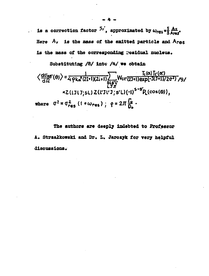**is a correction factor**  $5i'$ **, approximated by**  $\omega_{res} \propto \frac{5}{3} \frac{A \nu}{Area}$ **.**  $\omega$  . Here  $A_v$  is the mass of the emitted particle and Ares is the mass of the corresponding residual nucleus.

**Substituting /8/ intc /4/ we obtain**

$$
\left\langle \frac{d\sigma_{\alpha\alpha'}}{d\Omega}(\theta) \right\rangle = \frac{1}{4 \rho k \alpha^{2}(2I+1)(2I+1)} \sum_{\substack{S \in \mathcal{S}'\\ L \supset \pi}} W_{CC'}(2J+1)exp[-J(J+1)/2\sigma^{2})}/9/
$$
  
\n×Z(LJLT;SL) Z(L'JL'J; S'L) (-1)<sup>S-S'</sup>P<sub>L</sub>(cos(\theta)),  
\nwhere  $\sigma^{2} = \sigma_{res}^{2}$  (1 +  $\omega_{res}$ ) ;  $\rho = 2\pi \frac{I_{\varphi}}{D_{\alpha}}$ .

**The authors are deeply indebted to Professor** A. Strzałkowski and Dr. L. Jarozyk for very helpful **discussions.**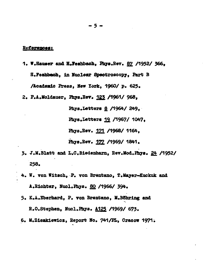#### <u>References:</u>

**1. W.Hawer and H.7eshbach, Pbys.Bev. §2 /1952/ 366,**

**H.Feahbaeh, in Nuclear Speetrosoopy, fart В**

**/Academic Press, Hew Xdrk, 1960/ p. 625\***

**2. P.A.Moldauer, Phye.Bev. Д22 /1961/ 968,**

**Phya.Lettera 8 /1964/ 249, Phye.Lettere 19. /1967/ 1047. Phys.Bev. 121 /4968/ 1164, ibye.Hev. 122 /1969/ 1841.**

- **3. J.M.Blatt and L.C.Biedenharn, Bev.M0d.fb7a. 24 /1952/ 258.**
- **4. W. you Witach, P. von Brent ano, Т.Мауег-Kuckuk and A.Hichter, Huol.Pbars. 80 /1966/ 394.**
- **5\* K.A.Eberbard, P. von Brentano, ll.BOhring and R.O.Stephen, Nucl.Pnye. A125 /1969/ 673.**
- **6. M.Ziemkiewics, Beport Ho. 741/PL, Cracow 1971;**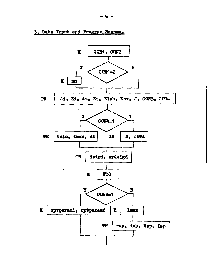3. Data Input and Program Scheme.

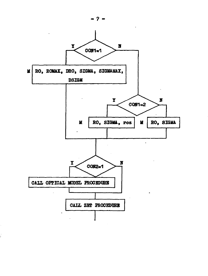

ĵ

2.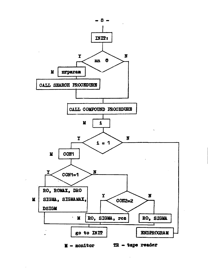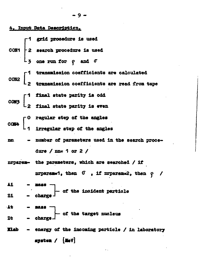4. Input Data Description. 1 grid procedure is used |<br>|-2 search procedure is used CON<sub>1</sub> one run for  $\rho$  and  $\sigma$ transmission coefficients are calculated transmission coefficients are read from tape 1 final state parity is odd 2 final state parity is even O regular step of the angles irregular step of the angles - number of parameters used in the search procenn. dure /  $mn = 1$  or 2 / nrparam- the parameters, which are searched / if nrparam=1, then  $0$ , if nrparam=2, then  $\rho$  / 41 cf the incident particle charge 21 At 3888 of the target nucleus  $-$  charge Zt - energy of the incoming particle / in laboratory **Elab** system  $/$  [HeV]

 $-9 -$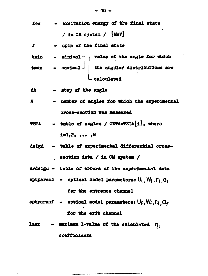$$
Eex - exoltation energy of the final state
$$
  
\n/ in  $CH system / [Mov]$ 

- spin of the final state J

- minimal  $\neg \neg$  value of the angle for which tmin - maximal | the angular distributions are<br>calculated tmax

- step of the angle dt

- number of angles for which the experimental  $\mathbf x$ cross-section was measured
- table of angles / TETA-TETA[i], where TETA  $i=1,2, \ldots, N$
- dsigd table of experimental differential crosssection data / in CM system /
- erdsigd table of errors of the experimental data
- optparami optical model parameters:  $U_i$ ,  $W_i$ ,  $\Gamma_i$ ,  $Q_i$ for the entrance channel
- optparamf optical model parameters:  $U_f$ ,  $W_f$ ,  $\Gamma_f$ ,  $G_f$ for the exit channel
- maximum 1-value of the calculated  $\eta_1$ lnax coefficients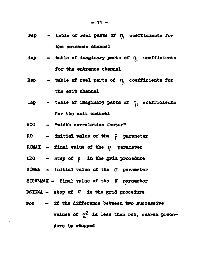- **rep table of real parts of**  $\eta_i$  **coefficients for the entrance channel**
- **isp**  $-$  **table of imaginary parts of**  $\eta_1$  **coefficients for the entrance channel**
- **Rsp**  $-$  table of real parts of  $\eta$ <sub>*l*</sub> coefficients for **the exit channel**
- **lap table of imaginary parts of**  $\eta_i$  **coefficients for the exit channel**
- **WCC "width correlation factor"**
- **HO initial value of the p parameter**
- **EOUAX final value of the** *0* **parameter**
- DRO step of  $\rho$  in the grid procedure
- SIGMA initial value of the  $\sigma$  parameter
- **SIGMAMAX final value of the 0" parameter**
- **DSIGMA. step of С in the grid procedure**
- **roz if the difference between two successive values of** *yf* **is less then roz, search proce dure is stopped**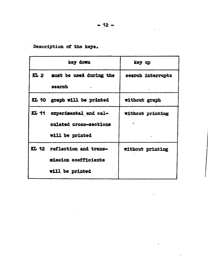$-12 -$ 

Description of the keys.

|      | key down                    | key up                  |
|------|-----------------------------|-------------------------|
| KL 2 | must be used during the     | search interrupts       |
|      | aearch                      |                         |
|      | KL 10 graph will be printed | without graph           |
|      | KL 11 experimental and cal- | <b>without printing</b> |
|      | culated cross-sections      |                         |
|      | will be printed             |                         |
|      | KL 12 reflection and trans- | without printing        |
|      | mission coefficients        |                         |
|      | will be printed             |                         |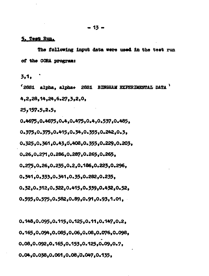#### 5. Test Run.

The following input data were used in the test run of the CORA program:

 $3.1.$ 

'28Si alpha, alpha+ 28Si BINGHAM EXPERIMENTAL DATA ' 4,2,28,14,24,6.27,3,2,0,

 $25, 157, 5, 2.5,$ 

0.4675,0.4675,0.4,0.475,0.4,0.537,0.485,

0.375,0.375,0.415,0.34,0.355,0.242,0.3,

0.325,0.361,0.43,0.408,0.355,0.229,0.203,

0.26,0.271,0.286,0.287,0.265,0.265,

0.275.0.26.0.235.0.2.0.186.0.223.0.296.

0.341,0.333,0.341,0.35,0.282,0.235,

0.32.0.312.0.322.0.415.0.339.0.432.0.52.

0.595.0.575.0.582.0.89.0.91.0.93.1.01.

0.148,0.095,0.115,0.125,0.11,0.147,0.2, 0.165.0.094.0.085.0.06.0.08.0.076.0.098. 0.08,0.092,0.165,0.153,0.125,0.09,0.7, 0.04,0.038,0.061,0.08,0.047,0.135,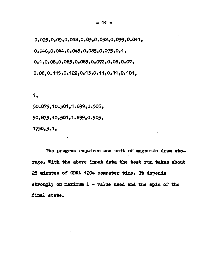**0.095,0.09,0.048,0.03,0.032,0.059,0.041, 0.046,0.044,0.045,0.085,0.095,0.1, 0.H,0.08,0.085,0.085,0.072,0.08,0.07, 0.08,0.115,0.122,0.13,0.11,0.11,0.101,**

1.

**50.875,10.501,1.699,0.505, 50.875,10.501,1.699,0.505, 1750,3.1,**

The program requires one unit of magnetic drum sto**rage. With the above input data the test run takes about 25 minutes of ODRA. 1204 computer time. It depends strongly on aaximum 1 - value used and the spin of the final state.**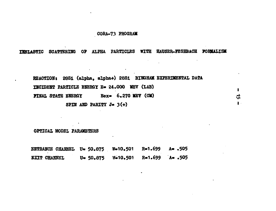#### CORA-73 PROGRAM

and a string

INELASTIC SCATTERING OF ALPHA PARTICLES WITH HAUSER-FESHBACH FORMALISM

| REACTION: 28Si (alpha, alpha+) 28Si BINGHAM EXPERIMENTAL DATA |    |
|---------------------------------------------------------------|----|
| INCIDENT PARTICLE ENERGY E= 24.000 MEV (LAB)                  |    |
| $\text{Be}x = 6.270$ MEV (CM)<br><b>FINAL STATE ENERGY</b>    | जै |
| SPIN AND PARITY $J = 3(+)$                                    |    |

OPTICAL MODEL PARAMETERS

**ENTRANCE CHANNEL U= 50.875 W=10.501 R=1.699 A= .505**  $U = 50.875$  W=10.501 R=1.699 A= .505 EXIT CHANNEL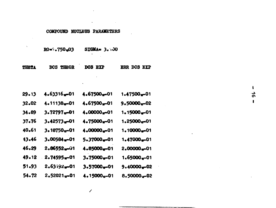### COMPOUND NUCLEUS PARAMETERS

| $R0 = 750,03$ | $STGMA = 3.130$ |  |
|---------------|-----------------|--|
|               |                 |  |

×,

| DCS THEOR<br>THETA | DOS EXP |  | <b>ERR DCS EXP</b> |  |
|--------------------|---------|--|--------------------|--|
|--------------------|---------|--|--------------------|--|

| 29.13 | 4.63316.01                | 4.67500m01                | 1.47500 <sub>w</sub> -01 |
|-------|---------------------------|---------------------------|--------------------------|
| 32.02 | 4.11138p-01               | 4.67500m01                | $9.50000 - 02$           |
| 34.89 | 3.72797m-01               | 4.00000m01                | 1.15000 p.01             |
| 37.76 | 3.42573.501               | 4.75000 <sub>w</sub> -01  | 1.25000 <sub>x</sub> -01 |
| 40.61 | 3.18750 <sub>10</sub> -01 | 4.00000 <sub>w</sub> -01  | 1.10000m-01              |
| 43.46 | 3.00584 <sub>x</sub> -01  | 5.37000.01                | $1.47000 - 01$           |
| 46.29 | 2.8655201                 | $4.85000 - 01$            | $2,00000_{w}$ -01        |
| 49.12 | 2.74595w-01               | 3.75000m01                | $1.65000*01$             |
| 51.93 | 2.63192 <sub>1</sub> -01  | 3.57000-01                | 9.40000+02               |
| 54.72 | 2.52021 <sub>10</sub> -01 | 4.15000 <sub>10</sub> -01 | 8.50000.02               |

 $\vec{p}$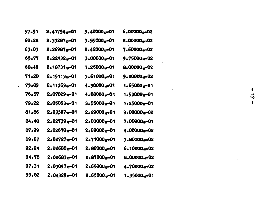| 57.51     | $2.41754 - 01$             | 3.40000m01      | $6.00000w - 02$          |
|-----------|----------------------------|-----------------|--------------------------|
| 60.28     | $2.33287 - 01$             | $3.55000 - 01$  | $8.00000 - 02$           |
| 63.03     | $2.26987 - 01$             | $2.42000 - 01$  | $7.60000 - 02$           |
| 65.77     | $2.22432 - 01$             | $3.00000 - 01$  | $9.75000 - 02$           |
| 68.49     | $2.18731 - 01$             | $3.25000 - 01$  | $8.00000 - 02$           |
| 71,20     | $2.15113w - 01$            | $3.61000 - 01$  | $9.20000 - 02$           |
| 73.89     | $2,11363$ <sub>w</sub> -01 | 4.30000.01      | $1.65000 - 01$           |
| 76.57     | $2.07829 - 01$             | 4.08000-01      | $1.53000 - 01$           |
| 79.22     | $2.05063w - 01$            | 3.55000-01      | $1.25000tr - 01$         |
| 81,86     | $2.03397$ <sub>w</sub> -01 | $2.29000 - 01$  | $9.00000 - 02$           |
| 84.48     | $2.02739 - 01$             | 2.03000-01      | $7.00000 - 01$           |
| 87.09     | $2.02670 - 01$             | $2,600009 - 01$ | 4.00000 <sub>w</sub> -02 |
| 89.67     | 2.02727-01                 | $2.71000w - 01$ | $3.80000 - 02$           |
| 92.24     | $2.02688 - 01$             | $2.86000 - 01$  | $6.10000 - 02$           |
| 94.78     | $2.02683 - 01$             | $2.87000 - 01$  | $8,00000, -02$           |
| $97 - 31$ | 2.03097m01                 | $2.65000 - 01$  | 4.70000-02               |
| 99,82     | $2.04329 - 01$             | $2.65000 - 01$  | $1.35000 - 01$           |

 $\mathcal{L}_{\text{max}}$  ,  $\mathcal{L}_{\text{max}}$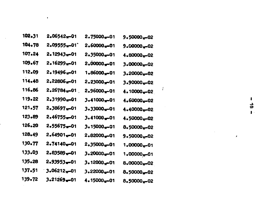| 102.31 | $2.06542 - 01$              | $2.75000 - 01$          | $9.50000 - 02$            |
|--------|-----------------------------|-------------------------|---------------------------|
| 104.78 | 2.0955501                   | $2.60000p = 01$         | $9.0000 - 02$             |
| 107.24 | $2.12943$ <sub>0</sub> -01  | $2.35000w - 01$         | 4.80000-02                |
| 109.67 | 2.16299 <sub>w</sub> 01     | $2.00000w$ -01          | $3.00000_{w} - 02$        |
| 112.09 | $2.19496 - 01$              | $1.86000_{w}$ -01       | 3.20000 <sub>w</sub> 02   |
| 114.48 | $2.22806 - 01$              | $2.23000 - 01$          | $3.90000 - 02$            |
| 116.86 | $2.26784$ <sub>10</sub> -01 | $2.96000 - 01$          | Ť<br>$4.10000 - 02$       |
| 119.22 | $2.31990$ <sub>20</sub> 01  | $3.41000 - 01$          | 4.60000 <sub>10</sub> -02 |
| 121.57 | 2.38697w-01                 | $3.33000_{w} - 01$      | 4.40000 <sub>p</sub> -02  |
| 123.89 | $2.46755 - 01$              | $3.41000 - 01$          | 4.50000-02                |
| 126.20 | $2.55675 - 01$              | $3.15000 - 01$          | $8.50000 - 02$            |
| 128.49 | $2.64901$ <sub>w</sub> -01  | $2.82000 - 01$          | $9.50000 - 02$            |
| 130.77 | 2.74140 <sub>w</sub> 01     | 2.35000 <sub>w</sub> 01 | $1.00000 - 01$            |
| 133.03 | $2.83589$ <sub>w</sub> -01  | $3.20000w$ -01          | $1.00000w - 01$           |
| 135.28 | $2.93953 - 01$              | 3.12000 <sub>w</sub> 01 | 8,00000 <sub>10</sub> -02 |
| 137.51 | $3.06212_m - 01$            | $3.22000 - 01$          | 8.50000-02                |
| 139.72 | 3.21269-01                  | $4.15000w - 01$         | 8.50000 <sub>w</sub> 02   |

the control of the control of the con-

 $\cdot$  $\frac{1}{9}$  $\mathbf{I}$  :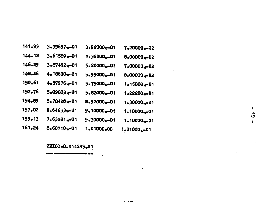| 141.93 | 3.39657w-01                | $3.92000w - 01$           | 7.20000 <sub>10</sub> 02   |
|--------|----------------------------|---------------------------|----------------------------|
| 144.12 | 3.61589 <sub>n=</sub> 01   | $4.32000w - 01$           | 8.00000-02                 |
| 146.29 | 3.87452 <sub>w</sub> -01   | 5.20000 <sub>10</sub> -01 | $7.00000$ <sub>w</sub> -02 |
| 148.46 | 4.18600 <sub>10</sub> -01  | 5.95000 <sub>v</sub> -01  | 8,00000 <sub>10</sub> -02  |
| 150.61 | $4.57976$ <sub>w</sub> -01 | 5.75000 <sub>w</sub> 01   | $1.15000w - 01$            |
| 152.76 | 5.09883,001                | $5.82000w - 01$           | $1.22200 - 01$             |
| 154.89 | 5.78420 <sub>10</sub> -01  | 8.90000 <sub>#</sub> -01  | $1.30000w - 01$            |
| 157.02 | 6.64633 <b></b> 01         | 9.10000 <sub>17</sub> 01  | 1.10000 <sub>10</sub> -01  |
| 159.13 | 7.6328101                  | $9.30000 - 01$            | 1.10000 <sub>10</sub> -01  |
| 161.24 | 8.60740.01                 | 1.01000 <sub>n</sub> 00   | 1.01000 <sub>v</sub> -01   |

 $\bar{\mathbf{v}}$ 

## CHISQ=8.414295<sub>10</sub>01

 $\mathbf{r}$  $\vec{\bullet}$  $\mathbf{I}$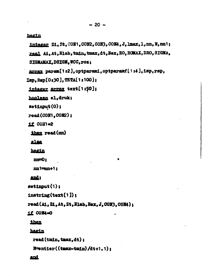#### begin

integer Zi, Zt, CON1, CON2, CON3, CON4, J, lmax, l, nn, N, nn 1; real Ai. At. Elab. tmin. tmax. dt. Bex. RO. ROMAX. DRO. SIGMA. SIGMAMAX.DSIGM.WCC.roz; array param[1:2], optparami, optparamf[1:4].isp.rsp. Isp.Rsp[0:30].TETA[1:100]; integer array text[1:50]; hoolean el.druk;  $\texttt{setinput}(0);$  $read(COM1, COM2);$  $11$  COH<sub>1=2</sub> then read (nn) else hegin  $m=0:$  $nn1 = nn+1$ : and:  $\texttt{softmax}(1)$ :  $\texttt{Instring}(\texttt{text}[1])$ read (Ai, Zi, At, Zt, Elab, Eex, J. CON3, CON4); **11 COM4=0** than hagin read (tmin, tmax, dt);

and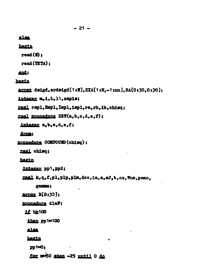$-21$ **alsa** hegin  $read(M)$  $read(TSTA):$ and: hagin array dsigd, erdsigd[1:H].EXA[1:N.-1:nn].RA[0:30.0:30]; integer m.i.L.11, gapis; real rspl, Rspl, Ispl, ispl, ra, rb, ib. chisq; real procedure ZET(a.b.c.d.e.f): integer a, b, c, d, e, f; drun: procedure COMPOUND (chise) : raal chise: hagin integer pp1.pp2; real k, q, f, pl, plp, plm, dce, ia, a, a2, b, cx, Wns, pomo. gamma; **array B[0:33];** procedure dlaF; 1f b2100 than pp1=100 alsa hegin  $p p1 = 0;$ for m=50 aten -25 until 0 do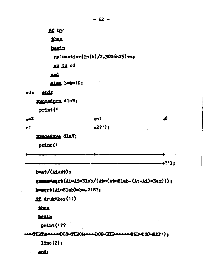$-22 -$ 11 b21 then hegin pp1=entier(ln(b)/2.3026×25)+m; go to od **and** alsa b¤b×10; ods ands procedure dlaW;  $print($  $r<sup>2</sup>$  $-1$ ه  $n2?')$  :  $\mathbf{a}^{\dagger}$ Drocadura dlaV; print (\* --------+?'): والأقمع فالركاب ومواجه ومنادمات والمتالي  $bat/(A1+At)$ ; gamma#sqrt(AixAixElab/(Atx(AtxElab-(At+Ai)xEex))); kwaart(AixElab)xbx.2187; **if druk/key(11) then** hegin ·  $print(4??$ teaTHETAAAACOCS.THEORAAADCS.EXPAAAAAERR-DCS-EXP'):  $11me(2):$ and: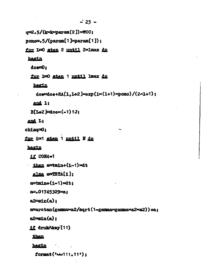```
\div 23 -q=2.5/(kxk\sigmaaram(2)) \timesWCC:
p_{\text{noncon}}, 5/(p_{\text{aram}}[1]\times p_{\text{arm}}[1]);
for L=0 sten 2 until 2×lmax do
 bagin
   down:for 1=0 sten 1 until lmax do
    hegin
      doe=doe+RA[1,L+2]\timesexp(1\times(1+1)\timespomo)/(2\times1+1);
    and 1:B[1+2]=dce\times(-1) tJ:
 and L:
ohaq = 0:for i=1 stap 1 until N do
 hegin
   if CON4=1
 then a = \tanh(1 - 1) and
    else e = TRTA[1]:a = tmin+(i-1) \times dt:
   a=.01745329×a:
  a2 = sin(a):
   a=arctan(gammaxa2/sqrt(1-gammaxgammaxa2xa2))+a:
   a2min(a):
  if drukAkey(11)
    than
    hegin the head of the set of the set of the set of the set of the set of the set of the set of the set of the set of the set of the set of the set of the set of the set of the set of the set of the set of the set of the se
      format ('unillation'):
```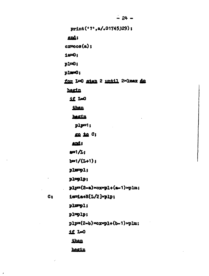$\frac{1}{24}$  – print('?', a/, 01745329);  $\cos(\alpha)$ : for L=0 stan 2 until 2×1max do

than

1f L=0

hegin

ands

 $1e = 0;$  $p1 = 0;$  $p1m=0;$ 

hegin

 $p1p=1;$ 

go to C;

and:

 $221/L<sub>i</sub>$ 

 $b=1/(L+1);$ 

 $p1mp1;$ 

 $p1 = p1p$ 

 $plp=(2-a)\times cxpq1+(a-1)\times p1m;$ 

 $Q<sub>2</sub>$ 

 $\cdot$ 

 $p1mp1;$ 

ia=ia+B[L/2]xplp;

 $p1 = p1p;$ 

 $p1p=(2-b)\times c\text{xp1}+(b-1)\times p1m;$ 

11 L-0

then

hegin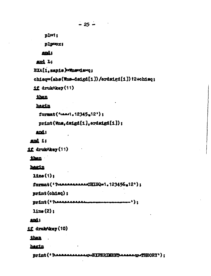```
-25 -
```

```
pi1
```
Dlp=0x;

and:

and L:

EXA[i.sapis] wheriaxq;

```
chisq=(abs(Wns-dsigd[i])/erdsigd[i]) *2+chisq;
```
if drukAkey(11)

then

herin

format ('www1.12345.12');

```
print(Wns.dsigd[i].erdsigd[i]);
```
and:

and it

```
if drukAkey(11)
```
then :

## **hesin**

```
11ne(1)
```

```
format('?www.www.cHISQ=1.123456,12');
```
print (ohisq);

print (\* ? Lanaanaanaan -'):

 $\lim_{\epsilon}$  (2):

## and;

if drubAkey(10)

than .

hegin

print (\* ? LEBREALANANOUE IPERIMENTLANANOUFHEORY') :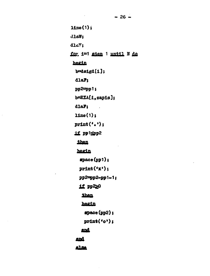$-26 -$ 

 $11me(1);$  $d$ laW;  $d1s$ . for i=1 sten 1 until N do hegin  $b = \text{diagd}[1];$  $d$ la $P$ ;  $pp2 = pp1;$  $b = EXA[1, zapis];$  $d$ la $P$ ;  $\mathbb{R}^2$  $line(1)$ ;  $print('.)$ ; 1f pp1spp2 then hegin  $space(pp1);$  $print('x');$ pp2=pp2-pp1-1; if pp220 then hegin  $space(pp2);$  $print('o');$ and **and Alsa**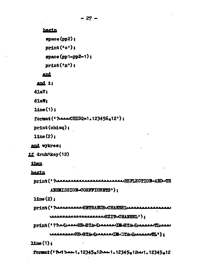$15ne(1)$ : format (\* ?~ 1 1 - 1 - 1 - 1 - 1 2345 - 1 - 1 - 1 2345 - 1 2 - 1 - 1 2345 - 1 2

LAAAAAAAAAREDARTALIJAAAAAAAJELU TALAJAAAAAAATE ? ) 2

LAAAAAAAAAAAAAAAAAAAEXTTuCHANNEL'):

 $1$ ine $(2)$ : print (\* ? LEALARRAL-ENTRANCE-CHANNEL ARRABALLARRAL

ANSMISSION-COEFFICENTS');

hegin print (' ?------------------------------REFLECTION-AND-TR

then

if drukAkey(12)

and wykres:

 $1$ ine $(2)$ :

 $print(oh189);$ 

format (' ?----CHISQ=1.123456-12');

 $line(1)$ :

d1aW:

dlaV:

and i:

and

 $space(np1-pp2-1);$ 

 $print('o')$ :

 $print('x');$ 

 $space(np2):$ 

hegin

 $-27-$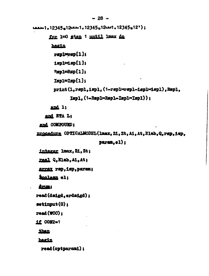```
: (12345-12345 - 12345-12345 - 12345-12345 - 1244)
```
for 1=0 step 1 mntil lmax do

hegin

 $rsp1rsp[1];$ 

 $1$ spl $=1$ sp $[1]$ ;

Repl=Rsp[1]:

Ispl=Isp[1];

print(1.rspl.ispl.(1-rsplxrspl-isplxispl).Rspl.

```
Isp1. (1-Rsp1\times Rsp1-Isp1\times Isp1):
```
and 1:

and ETA L:

and COMPOUND:

procedure OPTICALMODEL(lmax. Zi. Zt. Ai. At. Elab. Q. rsp. 1.6p.

 $param<sub>e1</sub>$ 

integer lmax, Zi, Zt;

real Q.Elab.Ai.At;

array rsp. isp. param;

**Roolean** el:

drum:

read(dsigd.erdsigd):

 $\mathfrak{sot}$ input $(0)$ :

 $read(WCC)$ :

**11 CON2=1** 

**than** 

hagin

read(optparami);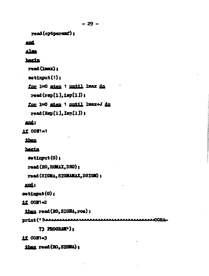```
-29-
```
read(optparamf);

#### and

### alsa

### **bagin**

read (lmax) :

 $\n **estinput(1)**\n$ 

for 1=0 aten 1 until 1max do

 $\texttt{read}(\texttt{rgb}[1], \texttt{isp}[1])$ ;

for 1=0 step 1 until lmax+J do

 $read(Rap[1].Isp[1])$ ;

## and:

if CON's1

than

hagin

```
\mathfrak{setimut}(0):
```

```
read (RO. ROMAX. DRO) ;
```
read (SIGMA, SIGMAMAX, DSIGM) ;

end:

```
setinput(0):
```

```
if COT1=2
```
than read(RO. SIGMA.ros);

```
AROBA
```
73 PROGRAM<sup>®</sup>):

 $11$  CON $=$ 3

than read (RO. SIGHA);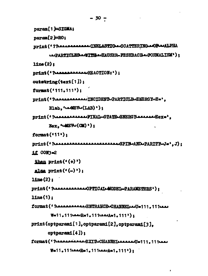```
param<sup>[1]=SIGMA;</sup>
param[2]ER0;Drint (*? ? ? PLACKALLARAL INELASTIC -SCATTERING -OF PLALPHA
      LAPARTICLES-ITTH-HAUSER-FESHBACH-FORMALISM'):
1ine(2):
Drint (' ? LARABBARALLAUREACTION:');
outstring(text[1]);
format('111.111'):Drint (' ?-------------- INCIDENT-PARTICLE-ENERGY-E='.
      Elab. ^{\prime}uskEV\cup(LAB)^{\prime}):
Drint (* ? LEALLAALAALPINAL-STATE-ENERGYLAALAA-Eex='.
      Bar. '-HEV-(CM)');
format(11):
1f CON3=2
then print(\cdot (+)^.)alsa print(\cdot(-));
1ine(2):
11ne(1):format (* ? Annannannen ENTRANCE-CHANNEL au July 111.11 | 12.11
      W=11.111444R=1.111444A=1.111<sup>3</sup>
print(optparami[1].optparami[2].optparami[3].
     optparam[4]):
format('? ----------EXITLCHANNEL---------U=111.111-
      W=11.1111...R=1.1111...R=1.111?
```
 $-30 -$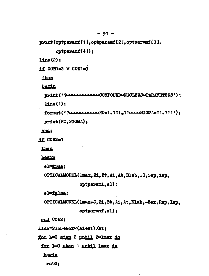print(optparamf[1].optparamf[2].optparamf[3].

 $optparamf(4)$ );

 $\text{Line}(2):$ 

 $1f$  CON1=2 V CON1=3

then

hegin

```
print (' ?--------------COMPOUND-NUCLEUS-PARAMETERS') ;
11me(1):print (RO, SIGMA);
```
and:

 $110002-1$ 

**than** 

**hegin** 

el<del>utrua</del>;

```
OPTICALMODEL(1max, Zi, Zt, Ai, At, Elab, .0, rsp, isp.
```
optparami.el);

el=false;

OPTICALMODEL(1max+J, Zi, Zt, Ai, At, Elab,-Eex, Rsp, Isp,

 $optparam, e1);$ 

end CON2:

Elab=Elab+Eex >< (Ai+At) /At;

for 1=0 step 2 until 2×lmax do

for 1=0 aten 1 until lmax do

**bazin** 

ra=0: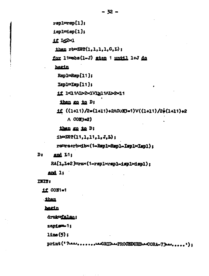$rsol=rsp[1];$ 

 $i$ spl $=$  $i$ sp $[1]$ ;

1f Ig2×1

then rb=ZET(1.1.1.1.0.L):

for 11=abs(1-J) step 1 until 1+J do

hegin

Rspl=Rsp[11];

 $Isp1 = Isp[11];$ 

11 1<1MJ>2x1V1≥1MJ>2x11

then go to D:

 $1f((1+11)/2=(1+11)+2AC0H3=1)V((1+11)/2+(1+11)+2$  $\wedge$  CON3=2)

then go to D;

ib=28?(11,1,11,1,J,L);

rawra+rbxibx(1-RaplxRapl-IsplxIspl);

D<sub>2</sub> and L1:

RA[1,L+2]=rax(1-rsp1xrsp1-isp1xispl);

and  $1:$ 

**INIT:** 

 $11$  CON1=1

then

hegin

druk#false;

zapiew-1;

 $l$ ine $(5)$ ;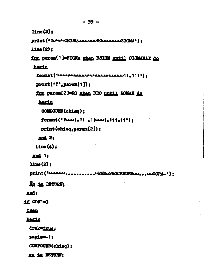$11ne(2)$ 

```
Drint (* ?Laas-CHTSQLAASSARD AARDER ALSTGMA"):
```
 $1$ ine $(2)$ :

for param[1]=SIGMA step DSIGM until SIGMAMAX do

hegin

```
print('?'). param[1]):
```
for param[2]=RO sten DRO until ROMAX do

herin

```
COMPOURD(chisa):
```

```
format ('Read, 11 of least, 111o11');
```

```
print(ohisa, param(2)):
```

```
and 2<sub>1</sub>
```
 $14$ ne $(4)$  :

```
and 1s
```
 $1$ ine $(2)$ :

Zo to RETURN:

### and:

```
1f CON1=3
```
### than

## hegin

druk=true:

```
sapign-1:
```

```
COMPOUND(chisq):
```
KG 10 RETURN: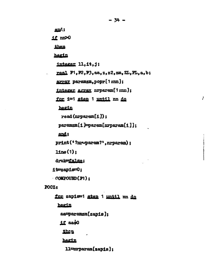```
and:
if m>0
 then
hegin
 integer 11, it, j;
 real F1, F2, F3, aa, z, z2, zm, ZL, FL, a, b;
 array paramzm.popr[1;nn];
 integer array nrparam[1;mn];
 for i=1 step 1 until nn do
  hegin
   read(nrparam[i]):
  param[1] = param[normal[1]]:
  and:
 print ('?nr-param?', nrparam) ;
 14ne(1):druk=false:
it=zapis=0:
COMPOUND(P1):
```
 $-34 -$ 

Į

## POCZ:

for zapis=1 step 1 until nn do hegin  $a$ a $p$ aram $z$ m $[za]$ :  $1f$  aato then hegin  $11$ =mrparam $[$ zapis $]$ :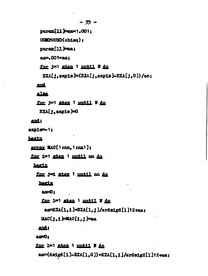```
-35 -param[11]=aax1.001;
 COMPOUND(chisa):
 param[11] = a;as=.001xaa:
 for j=1 aten 1 until N do
  \texttt{EXA}[1, \texttt{zap1s}] = (\texttt{EXA}[1, \texttt{zap1s}] - \texttt{EXA}[1, 0]) / \texttt{as};and
alsa
```
for j=1 step 1 until N do  $EXA[1, zap1s]=0$ 

### and:

sapis-1:

hegin

```
array MAC[1;nn, 1;nn1];
```
for i=1 step 1 until mm do

hagin

for j=i step 1 until nn do

hagin

```
a = 0;
for 1m1 step 1 mntil N do
```
ae=EXA[1,1]xEXA[1,j]/erdsigd[1]t2+aa;

```
HAC[1,1] = MAC[1,1] = aa
```
and:

 $20<sup>2</sup>$ 

for 1=1 step 1 until N do

aa=(dsigd[1]-EXA[1,0]) xEXA[1,1]/erdsigd[1]t2+aa;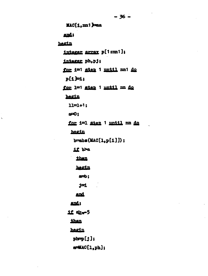MAC[1, mn1] Paa and: hagin integer array p[1:m1]; integer ph.pj; for i=1 step 1 pntil nn1 do  $p[1]=1$ : for 1=1 sten 1 until m do hegin  $11 = 1 + 1;$  $e = 0$ for 1=1 sten 1 until nn do hegin  $b = abs(MAC[1, p[1]))$ ; if be then hegin  $a = b$  :  $j=1$ and and;  $11$   $R - 5$ than hegin  $pbp = [j];$  $a = MAC[1, ph];$ 

 $\ddot{\phantom{1}}$ 

 $-36 -$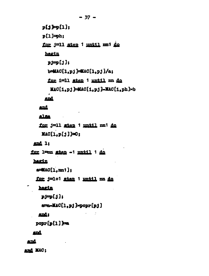$p[i] = [1]:$  $p[1]=ph:$ for j=11 step 1 until mi do hagin  $151$  q=tq  $b = MAC[1, p; j] = MAC[1, p; j/A; j$ for 1=11 step 1 until nn do MAC[1.pj]=MAC[1.pj]-MAC[1.ph]×b and

and

alsa

for j=11 step 1 until nn1 do  $MAC[1,p[j]]=0;$ 

and 1:

for 1mm stan -1 mmtil 1 do

hagin

 $a = MAC[1, mn1];$ 

for j=1+1 step 1 until nn do

hagin

 $i[i]$ q $i[i]$ 

ame-MAC[1,pj]>popr[pj]

 $\sim 10^{-10}$  eV

 $\overline{\phantom{a}}$ 

 $pop[**p**01]$ 

and

and

and MAC;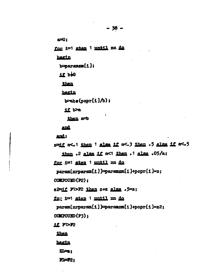$e=0$ :

for i=1 stan 1 until nn do

harin

 $b$ =paramen $\{i\}$ ;

 $11$   $b40$ 

then

hegin

 $b = b \cdot (popr(i)/b)$ ;

if ba

then a=b

and

and;

grif a<.1 then 1 alse if a<.3 then .5 alse if a<.5 then .2 alse if a<1 then .1 alse .05/a; for i=1 sten 1 until mm do  $param[1]$  =  $param[1]$  =  $param[1]$  +  $norm[1]$   $\times$   $s$ ; COMPOURD (P2): z2=if F1>F2 then z+z alsa .5xz; for i=1 step 1 until mm do param[nrparam[i]]=paramzm[i]+popr[i]×z2; COMPOUND (F3): 11 F1>P2 then hagin

 $21 - 1$ 

**FI=72:**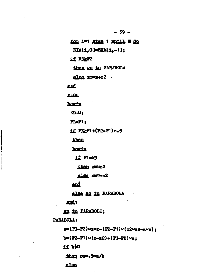for i=1 step 1 mntil I do EXA[1.0]=EXA[1.-1];  $11$   $P2P2$ then go to PARABOLA  $a$ lse  $zm = z + z^2$ . and  $B<sub>1</sub>BBB$ hagin  $\mathbb{Z}$  = 0:  $PI = P1$ 1f  $P3 \geq P1 + (P2 - P1) \times .5$ then hagin  $11$   $P(-P)$ than zm=z2 alsa sm=-z2 and alsa go to PARABOLA and: go to PARABOLI: PARABOLA 2  $e^{2}$ (F3-F2)×z×z-(F2-F1)×(z2×z2-z×z);  $b = (P2 - P1) \times (z - z^2) + (P3 - P2) \times z$ ;  $11$   $b40$ than zum.5xa/b **AlBA** 

 $-39 -$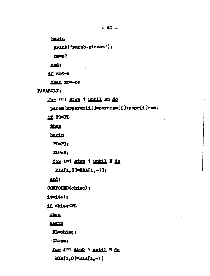```
hegin
      print ('parab.niemoz');
      x = 2and;
    if mes
     then zm-s;
PARABOLI:
   for i=1 sten 1 until nn do
     param[nrparam[1]]=paramzm[1]+popr[1] xzm;
   11 FXR
     then
    hagin
      FL = F3:\pi\approx 21
     for i=1 step 1 mmtil N do
       EXA[1.0]=EXA[1.-1];
    ands
   COMPOUND(chisq);
   11711 + 1111 chisq<FL
    then
    harin
     Flechisc:
     ZL-zm:
     for 1=1 step 1 until N do
      \texttt{EXA}[1,0] \texttt{=EXA}[1,-1]
```
 $-40 -$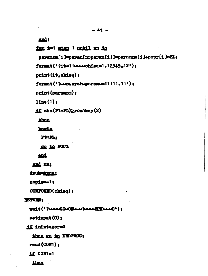and:

```
for i=1 step 1 until m do
```
paramen[1]=param[nrparam[1]]=paramzm[1]+popr[1]×ZL:

```
format('?it=11-222-chisq=1.12345.12');
```
print (it.chisq);

```
format ('?-search-paramu=11111.11');
```
print (paramzm);

 $1$ ine $(1)$ :

```
if abs(F1-FL) prozAkey(2)
```
then

hagin

 $\mathbf{P} = \mathbf{F}_1$ 

go to POCZ

#### and

and mn;

drukwirma:

```
sapigm-i;
```
COMPOURD(chisq):

#### **RETURN**

Wait (' ?LasadOu0Band |LasaEHDAnd');

 $\mathfrak{sot1m}$ ut $(0)$ ;

if ininteger=0

then go to ENDPROG;

 $read(COH)$ :

**11 CON1=1** 

then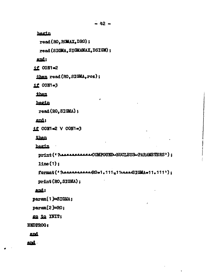$-42 -$ 

hegin

```
read (RO. ROMAX, DRO);
```
read (SIGMA, SIGMAMAX, DSIGM) ;

and:

11 CON1=2

```
then read (RO. SIGMA.roz) ;
```
 $1100N=3$ 

then

hegin

read (RO. SIGMA);

and;

```
11 CON1=2 V CON1=3
```
then

hegin

```
print (* ?--------------COMPOUND-NUCLEUS-PARAMETERS');
```
 $line(1)$ :

```
format(' ? ------------RO=1.111,11----SIGMA=11.111');
```

```
print (RO, SIGMA);
```
and;

```
param<sup>[1]=SIGMA;</sup>
```

```
param[2] = RO;
```
go to INIT;

**ENDPROG**:

## and

 $and$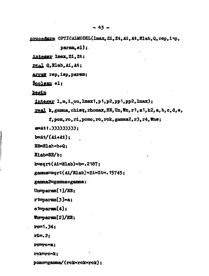procedure OPTICALMODEL(1max, Zi, Zt, Ai, At, Elab, Q, rsp, isp,

 $param, e1);$ 

integer lmax, Zi, Zt;

real Q.Blab, Ai, At;

array rsp, isp, param;

Boolean el;

begin

 $\frac{1}{1}$   $\frac{1}{1}$ , m, 1, uu,  $\frac{1}{1}$   $\frac{1}{1}$ , p1, p2, pp1, pp2,  $\frac{1}{1}$   $\frac{1}{2}$ ;

real k, gamma, chisq, rhomax, EE, Un, Wn, r1, a1, k2, a, b, c, d, e,

f, pom, ro, ri, pomo, ro, rck, gamma2, r3, r4, Wns;

a=At1.333333333:

 $b=At/(At+At);$ 

**EE=Elat**\*b+Q:

 $Black=BE/b;$ 

 $k =$ sqrt(Ai×Elab)×b×.2187;

gamma=sqrt(Ai/Elab)xZixZtx.15745;

gamma2=gamma+gamma;

 $Un = param[1]/BB;$ 

 $r1 = param[3] \times a;$ 

 $a1$ =param $[4]$ :

Wurparam[2]/EB;

 $row1.34:$ 

 $r1 = 2$ :

 $rowa$ :

rok=ro×k:

pomo=gamma/(reloerckxrok);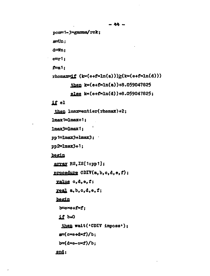```
pom=1-3xgamma/rck;
a = Un:
d = Wn:
e = r1;
f=a1;
rhomax=if (k*(e+f×ln(a))\geq (k*(e+f×ln(d)))then k*(e+f\times ln(a)) + 8.059047825else k*(e + f \times ln(d)) + 8.059047825;
1f el
 then lmax=entier(rhemax)+2;
lmax1=lmax+1;lmax3 = lmax1;pp1 = \text{Imax3} + \text{Imax3};
pp2=lmax3+1;
begin
array RS, IS[1:pp1];
procedure CDIV(a, b, c, d, e, f);
  value c,d,e,f;
 real, b, c, d, e, f;
  begin
   b = e \times e + f \times f;
   11 b=0
    then wait('CDIV imposs');
   a=(c \times e + d \times f)/b;
   b=(d \times e-c \times f)/b:
  end;
```
 $-44 -$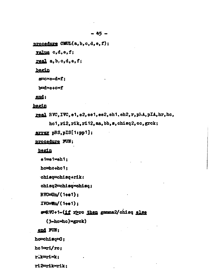procedure CMUL(a, b, c, d, e, f); value c,d,e,f;

real  $a, b, c, d, e, f$ ;

begin

 $a = c \times e - d \times f$ ;

b=d×e+c×f

end;

begin

real RVC, IVC, e1, e2, ee1, ee2, eh1, eh2, r, phA, pIA, hr, hc, hc1, r12, rik, r112, aa, bb, s, chisq2, co, grck;

array pRS, pIS[1:pp1]:

procedure FUN;

begin

 $e1 = e1 \times eh1;$ 

hc=ho+hc1;

chisq=chisq+rik;

chisq2=chisqxchisq;

 $RVC = Un / (1 + e1)$ :

 $IVC=Wn/(1+e1);$ 

s=RW+1-(if r>rc then gamma2/ohisq else

(3-hoxhe) xgrok)

end FUN;

ho=chisq=0;

holmri/ro:

rik=ri×k:

ri2=rikorik: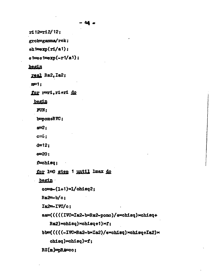$r12 = r12/12;$ 

grok=gamma/rok;

 $eh1 = exp(rl/a1);$ 

 $e1 = e1 = exp(-r1/a1);$ 

### begin

real Ra2, Ia2;

 $m=1:$ 

for reri, ri+ri do

begin

 $FUN:$ 

b=pom+RVC;

 $a=2:$ 

 $c = 6:$ 

 $d = 12:$ 

 $e = 20:$ 

 $f = chisq;$ 

for 1=0 step 1 until lmax do

begin

```
co=s-(1+1)x1/chisq2;
```
 $Ra2 = b/c;$ 

Ia2=IVC/c:

aa=(((((IVCxIa2-bxRa2-pomo)/exchisq)xchisq+

Ra2)xchisq)xchisq+1)xf;

bb=(((((-IVCxRa2-bxIa2)/exchisq)xchisq+Ia2)x

 $othsq)$  xchisq) xf;

RS[m]=pRA=cc;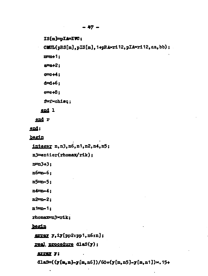## IS[m]=pLA=IW;

 $CHUL(nRS[m], pIS[m], 1+pRA \times r112, pI A \times r112, \epsilon a, bb);$ 

 $m = m + 1$ :

 $a = a + 2:$ 

 $0 = 0 + 4:$ 

 $d = d + 6:$ 

 $e = 48$ :

f=fxchisq:

end 1

end r

end:

begin

integer n, n3, n6, n1, n2, n4, n5;

n3=entier(rhomax/rik);

 $n = 3 + 3:$ 

n6=n-6;

n5=n-5:

 $n4 = n - 4:$ 

n2=n-2:

 $n1 = n-1$ :

rhomax=n3xrik:

### begin

array y, iy[pp2:pp1, n6:n];

real, procedure dlaS(y);

array y;

dlaS= $((y[m,n]-y[m,n6])/60+(y[m,n5]-y[m,n1])\times,15+$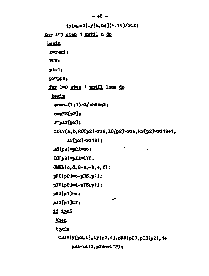```
-48 -(y[m, n2]-y[m, n4]) \times (75)/r4k;for i=3 gten 1 until n do
 begin
  rereri
  T(X)p1 = 1:p2 = pp2;
 for 1=0 step 1 until 1max do
   begin
    oc=6-(1+1)x1/chisq2;
    e = pRS[p2];f = DS(p2);CNIV(a, b, RS[p2] \times r12, IS[p2] \times r12, RS[p2] \times r112+1.IS[p2] \times r112);RS[p2]=pRA=co;
   IS[p2] = DIM = IVQ;CMIL(o, d, 2-a, -b, e, f);pRS[p2] \equiv o-pRS[p1];pIS[p2]=d-pIS[p1];pRS[p1]=e:pIS[p1]=r:
   11 12n6then
    begin
     CDIV(y[p2,1],1y[p2,1],pRS[p2],pIS[p2],1+pRA>rd12.pIA>rd12):
```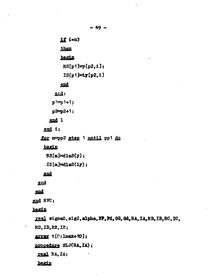$11$  i=n3 then begin  $RS[p1]=y[p2,1];$  $IS[p1]=iy[p2,1]$ end  $ex1:$  $p^{\sharp}=p^{\sharp}+1;$  $p2=p2+1;$ end 1 end  $i$ ; for mapp2 step 1 until pp1 do begin  $RS[m]=dlas(y);$  $IS[m]=dls(1y);$ 

## end

end

# end

end RVC;

begin

N

real sigma0, sig2, alpha, FP, Pd, GG, Gd, RA, IA, RB, IB, RC, IC, RD. ID. RE. IE;

array t[C: Imax+10];

procedure SLJ(RA, IA);

real RA, IA;

hegin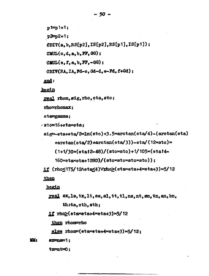```
p1=p1+1;
 p2=p2+1;CDIV(a, b, RS[p2], IS[p2], RS[p1], IS[p1]);CMIL(o, d, a, b, FP, 0G);CMUL(e, f, a, b, FP, -00);
 CDIV(RA. IA. Fd-c. Gd-d. e-Fd. f+Gd);
end:
```
begin

real rhom.sig.rho.eta.sto;

rho=rhomax:

ete=gamma;

```
sto=16+etaxeta:
```
 $size = beta + eta / 2 \times ln(sto) + 3.5 \times arctan (eta/4) - (arctan (eta)$ 

 $+arctan(\text{eta}/2) + arctan(\text{eta}/3)) - \text{eta}/(12 \times \text{sto}) \times$ 

 $(1+1/30\times(\text{eta12-48})/(\text{stoxsto})+1/105\times(\text{eta14-})$ 

 $160 \times \text{etaxeta} + 1280$ /(sto $\times \text{stox}$ sto $\times \text{stoc}$ ));

if (rho<175/12Aeta<4)Vrho>(etaxeta+4xeta+3)x5/12 then

begin

- real sx, ls, tx, lt, ss, sl, tt, tl, ns, nt, en, tn, an, bn, theta, oth, sth;
- $11$  rho $\geq$ (etaxeta+4×eta+3)×5/12

then rhom-rho

else rhom=(etaxeta+4xeta+3)x5/12:

m.  $ext{array}:$ 

 $t$ x=n $t$ =0: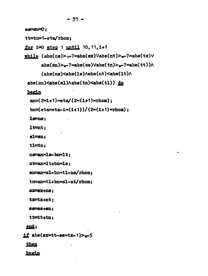$e^{e^{-\beta n}}$ tt=tn=1-eta/rhom: for  $i=0$  step 1 until 10.11.1+1 while  $(abs(ns) > -7 \times abs(sx) \vee abs(nt) > -7 \times abs(tx) \vee$  $abs(an)$   $\sim$   $7 \times abs(ga)$   $Vabs(tn)$   $\sim$   $7 \times abs(tt)$ ) $\land$  $(abs(ns)\leq abs(1s)\land abs(nt)\leq abs(1t)\land$ abs(sn)<abs(s1)Aabs(tn)<abs(t1)) do begin  $an=(2\times i+1)\times eta/(2\times (i+1)\times rhom);$ bn= $(\text{etaxeta}-(1+1))/(2\times(1+1)\times\text{rhom})$ ;  $1<sub>sm</sub>$  $1t = nt:$  $s1 = sn:$  $t1 = tn$ : nsmanxls-bnxlt: ntman×lt+bn×ls: sn=an×sl-bn×tl-ns/rhom: tn=anxt1+bnxs1-nt/rhom: 837=83+n8;  $tx = tx + nt:$ 88=88+8D:  $t$ t $t$ + $t$ n: end;  $if$  abs(sxxtt-ssxtx-1)> $-5$ then begin

- 51 -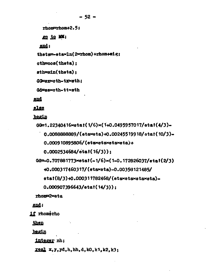$rhom=rhom+2.5:$ 

go to MM;

end:

thete=etex1n(2xrhom)+rhom+sig;

 $at$ = $\cos(t)$   $\sin(t)$  :

 $ath=sin(theta)$ :

GG=arxcth-trxath:

Gd=as×cth-tt×ath

end

else

begin

00=1.22340416×etat(1/6)×(1+0.0495957017/etat(4/3)-

0.0088888889/(etaxeta)+0.00245519918/etat(10/3)-

 $0.000910895806/(\text{etavetavetaveta})+$ 

 $0.0002534684/stat(16/3)$ :

 $0.707881773 \times \text{stat}(-1/6) \times (1-0.172826037/\text{stat}(2/3))$ 

+0.000317460317/(etaxeta)-0.00358121485/

 $eta(8/3) + 0.000311782468/(etaxetaxataxata)$ 

 $0.000907396643/\text{stat}(14/3)$ :

rhom=2×eta

end:

1f rhom+rho

then

begin

integer nh:

real  $x, y, yd, h, hh, d, k0, k1, k2, k3;$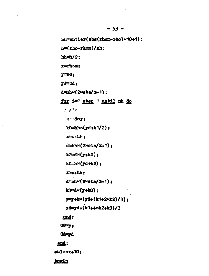nh=entier(abs(rhom-rho)×10+1);  $h = (rho - rhom)/nh$ :  $hh = h/2$ :  $x =$ rhom:  $y = GG;$  $yd = Gd$ :  $d = h h \times (2 \times dt) = 1$ ; for i=1 step 1 until nh do ່ເ ການ **x \* dxy;**  $k0 = h h \times (y d + k 1/2)$ ;  $x = x + h h$ ;  $d = h h \times (2 \times 1)$ ;  $k2 = d \times (y + k0);$  $k0 = h \times (yd + k2)$ ;  $x=x+hh$ :  $d = h h \times (2 \times dt) = 1;$  $k3 = x(y+10)$ :  $y = y + h \times (y d + (k1 + 2 \times k2)/3);$ yd=yd+(k1+4xk2+k3)/3 end;  $G \rightarrow$ Gd=yd end:  $p = 1$ max+10; begin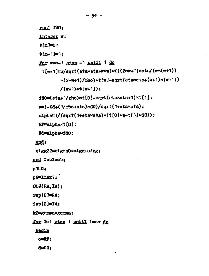```
real fd0;
   integer w;
   t[m]=0:
   t[m-1]=1:
  for www-1 step -1 until 1 do
    t[w-1]=w/gqrt(taxota+w×w)(((2×w+1)\times cta/(w×(w+1)))+(2 \times 1)/rho)\times t[w]-sqrt(eta\timeseta+(w+1)\times(w+1))
            /(w+1)×t[w+1]);
  fd0=(eta+1/rho)\times t[0]-sqrt(etext+eta+1)\times t[1];a = (-0d + (1/rh0 + eta) \times GG)/sqrt(1+etaxeta);alpha=1/(sqrt(1+etaxeta)\times(t[0]\times a-t[1]\times GG));PF=alpha\timest[0];
  M=alphaxfd0;
 end;sigg22=sigma0=sigg+sigg;
end Coulomb;
p1 = 0;p2=lmax3;SLJ(RA.IA);
rep[0]\nexists A;1sp[0]=IA;k2=gamma×gamma;
for 1=1 step 1 until lmax do
 <u>begin</u>
  O = FP:
  d = 00:
```
 $-54 -$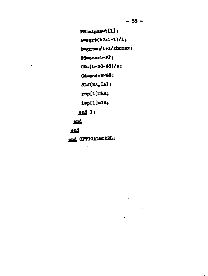$P = \text{alpha}(\{1\})$ ;  $a = gqrt(k2+1×1)/1;$  $b = \text{gamma}/1+1/\text{rhomax};$  $Pd = x^c - b \times P$ ;  $\sim 10$  $98(6-04)$ Gd=axd-bxGG;  $SLJ(RA,IA)$ ;  $rep[1]=RA;$  $i$ sp[1]=IA;  $end 1$ ; end

ä,

 $\bullet$ 

end

 $\epsilon_{\rm{max}}$ 

end OPTICALMODEL;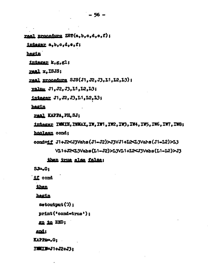real procedure ZET(a, b, c, d, e, f);

integer a, b, c, d, e, f;

harin

intagar k.g.gl;

 $real x, ISJS;$ 

real procedure SJS(J1, J2, J3, L1, L2, L3);

value J1, J2, J3, L1, L2, L3;

integer J1, J2, J3, L1, L2, L3;

hagin

real KAPPA, PH, SJ;

integer IWMIN, IWMAX, IW, IW1, IW2, IW3, IW4, IW5, IW6, IW7, IW8;

hoolaan cond;

cond=1f J1+J2<J3Vahs(J1-J2)>J3VJ1+L2<L3Vahs(J1-L2)>L3

VL1+J2<L3Vabs(L1-J2)>L3VL1+L2<J3Vabs(L1-L2)>J3

### then true else false;

 $S = 0t$ 

**if** cond

**than** 

hegin

 $\text{setoutput}(3)$ :

print ('cond=true'):

go to END;

and:

KAPPA=.0;

**ズ帯エル=J1+J2+J3:**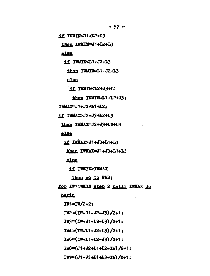1f IWAIK<J1+L2+L3

then IWMIN=J1+L2+L3

alse

11 IWMIN<L1+J2+L3

then IWMIN=L1+J2+L3

alse

**if IWMIN<L2+J3+L1** 

then IWMIN=L1+L2+J3:

IWMAX=J1+J2+L1+L2:

1f IWMAX>J2+J3+L2+L3

then IWMAX=J2+J3+L2+L3

alse

**11 IWMAX>J1+J3+L1+L3** 

then IWMAX=J1+J3+L1+L3

alsa

**11 IWAIN>IWAAX** 

then go to END:

for IW=IWMIN step 2 until IWMAX do

hegin

 $TW1 = TW/2 + 2:$ 

IW2=(IW-J1-J2-J3)/2+1:

 $IW3 = (IW - J1 - L2 - L3) / 2 + 1:$ 

IW4≔(IW-L1-J2-L3)/2+1:

IW5=(IW-L1-L2-J3)/2+1;

IW6=(J1+J2+L1+L2-IW)/2+1;

 $IW = (J1 + J3 + L1 + L3 - TW) / 2 + 1;$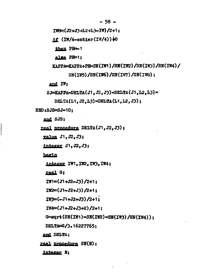$-58 -$ 

```
IW8=(J2+J3+L2+L3=IW)/2+1:
```
 $1f$  (IW/4-entier(IW/4))  $\frac{1}{2}0$ 

then PH=-1

alsa PH=1:

KAPPA=KAPPA+PIb<SN(IW1)/SN(IW2)/SN(IW3)/SN(IW4)/

 $SN(TW5)/SN(TW6)/SN(TW7)/SN(TW8)$ :

```
end IW:
```
SJ=KAPPA×DELTA(J1.J2.J3)×DELTA(J1.L2.L3)×

```
DELTA(L1, J2, L3) \times DELTA(L1, L2, J3):
```
 $END:SJS = SJ \times 10:$ 

end SJS:

real procedure DELTA(J1.J2.J3);

value J1. J2. J3:

integer J1. J2. J3;

begin

integer IW1, IW2, IW3, IW4;

real G:

 $TW1 = (J1 + J2 - J3)/2 + 1$ :

 $IW2=(J1-J2+J3)/2+1:$ 

 $IW3 = (-J1 + J2 + J3)/2 + 1$ :

 $TW4 = (J1+J2+J3+2)/2+1$ :

G=sqrt(SN(IW1)×SN(IW2)×SN(IW3)/SN(IW4));

DELTA=G/3.16227765:

and DELTA;

real procedure SN(N);

integer N: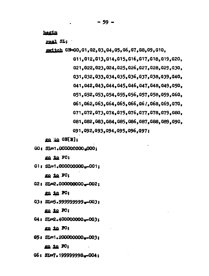hegin

real SL:

switch GN=GO.G1.G2.G3.G4.G5.G6.G7.G8.G9.G10.

G11, G12, G13, G14, G15, G16, G17, G18, G19, G20, G21.G22.G23.G24.G25.G26.G27.G28.G29.G30. G31.G32.G33.G34.G35.G36.G37.G38.G39.G40. G41, G42, G43, G44, G45, G46, G47, G48, G49, G50, G51.G52.G53.G54.G55.G56.G57.G58.G59.G60.

G61.G62.G63.G64.G65.G66.G67.G68.G69.G70.

G71, G72, G73, G74, G75, G76, G77, G78, G79, G80,

G81.G82.G83.G84.G85.G86.G87.G88.G89.G90.

G91.G92.G93.G94.G95.G96.G97;

go to GN[N];

GO: SL=1.000000000.000:

go to FC;

G1: SL=1.000000000.-001:

go to PC:

G2: SL=2.000000000-002:

go io FC;

G3: SL=5.999999999-003;

go to FC:

G4: SL=2.40000000g-063;

go to FC;

05: SL=1.200000000...003:

ga to FC;

G6: SI=7.19999998-004: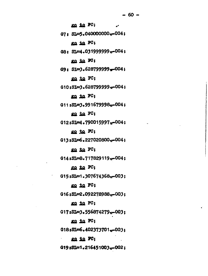go to PC; 07: SL=5.040000000w-004: go to PC; GB: SL=4.031999999<sub>x</sub>-004; go to FO: G9: SI=3.628799999-004; go to FC; G10:SI=3.628799999w-004: go to FC; G11:SL=3.991679998w-004; go to FC; G12:SI=4.790015997a=004; go to FC: G13:SL=6.227020800w=004; go to FC: G14:SL=8.717829119.-004; go to PC; G15:SL=1.307674368w-003: go to FC; G16;SL=2.092278988<sub>10</sub>-003; go to FC; G17:SL=3.556874279m-003: go to FC;  $0.181$ SL=6.402373701.-003; go to FC; G19:SL=1.216451003.-002;

 $-60 -$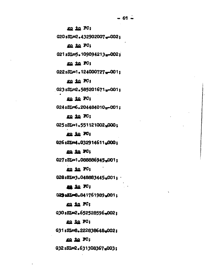go to PC;

G20:SL=2.432902007.-002:

go to FC;

G21;SL=5.109094213.002;

go to FC;

G22:SL=1.124000727m-001;

go to FC;

G23:SL=2.585201671m-001:

go to FC;

G24:SL=6.204484010m=001:

go to FC;

G25:SL=1.551121002.000:

go to FO;

G26:SI=4.032914611.000:

go to FC;

G27:SL=1.088886945.001:

go to FC;

G28:8L=3.048883445.001:

ma in FC;

G29:SL=8.841761989.001:

ro to FC;

G30:SL=2.652528596.002:

go to FC;

G31:SL=8.222838648.002:

go to FC;

G32:SI=2.631308367.003: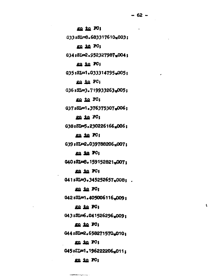ţ.

go to FO; G33:SL=8.683317610-003: go to FG: 634:SL=2.952327987-004: go to FC; G35:SL=1.033314795.005: go to FC: G36:SL=3.719933263.005: go to PC: 037:SL=1.376375307.006; go to FC; G38:SL=5.230226166.006: go to FC; G39:SL=2.039788206.007: go ia FG; 040:SL=8.159152821.007; go to PC;  $0.41$ : SL=3.345252657.008: go to PC; 042:SL=1.405006116.009; go to FG; G43:SL=6.041526296.009: go io FC; G44:SI=2.658271570.010: go to FC; G45:EL=1.196222206.011:

### go to FC;

...<del>.</del>..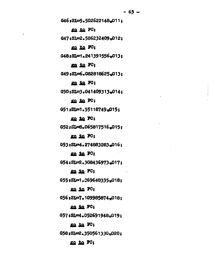G46:SL=5.502622148.011:

go to PC;

G47:SL=2.586232409.012:

go to FG:

G48:SL=1.241391556.013:

go to FC;

G49:SL=6.082818625.013:

go to FC;

G50:SI=3.041409313.014:

go to FC;

051:81=1.55118749-015:

go to FC;

G52:SI=8.065817516.015:

go to FC;

053:SL=4.274883283.016:

go to PC:

G54:SL=2.308436973.017:

 $\sim$   $\sim$   $\sim$ 

go io FC;

055:SL=1.269640335-018;

go to FC;

G56;SI=7,109985874,018;

go to FC;

 $0.57$ : SL=4.052691948.019;

go to FC;

G58:SL=2.350561330-020:

go to PC;

 $-63 -$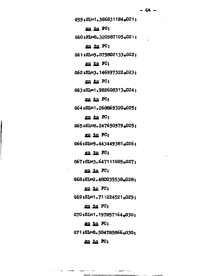G59:SL=1.386831184=021; go to FC; G60:SI=8.320987105.021; go to FC; G61:SL=5.075802133x022; go to FC; G62:SL=3.146997322<sub>10</sub>023; go to FC; G63:SL=1.982608313:024; go to FC; G64:SL=1.268869320m025; go in FC; G65:SL=8.247650579.025: go to PC; G66:SL=5.443449381p026: go to FC; G67:SL=3.647111085-027: go to FC; G68:SL=2.480035538m028: go to FC;  $G69$  : SI=1.711224521<sub>10</sub>029; go to FC; G70:SL=1.197857164.030: go to FC; G71:SL=8.504785866<sub>2030:</sub> go in FC;

 $\label{eq:12} \mathcal{L}(\mathcal{L}(\mathbf{p})) = \mathcal{L}(\mathbf{p}) \mathcal{L}(\mathbf{p}) = \mathcal{L}(\mathbf{q}) \mathcal{L}(\mathbf{p}) \mathcal{L}(\mathbf{p}) \mathcal{L}(\mathbf{p}) = \mathcal{L}(\mathbf{p}) \mathcal{L}(\mathbf{p})$ 

**Simplements** 

ستفهدهما المراز والمراقب والمراد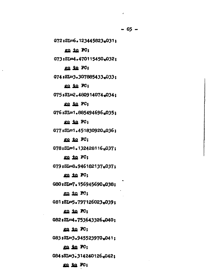$\lambda$ 

G72:SL=6.123445823.031; go to PC; G73:SL=4.470115450.032; go to FC; G74:SL=3.307885433.033: go to FC; G75:SL=2.480914074.034: go to FC: G76:SL=1.885494696.035: go to PC; G77:SL=1.451830920.036; go to PC: G78:SI=1.132428116.037: go to FC; G79:SL=8.946182137.037: go to FC; G80:SI=7.156945690m038:

go to FC; G81:SI=5.797126023-039; go to FC;

G82:SL=4.753643326<sub>10</sub>040;

go to FC;

G83:SL=3.945523970.041:

go io FC;

G84:SL=3.314240126,042;

go to FO;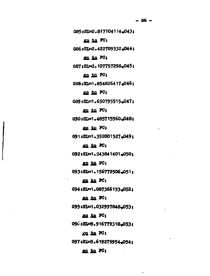G85:SI=2.817104114,043; go to FC; G86:SL=2.422709532.044;  $m$  in FC; G87:SL=2.107757298.045; ga ta PC;

G88:SL=1.854826417.046;

go to PC:

G89:SL=1.650795515.047:

go in FC;

G90:SL=1.485715960-048:

go to FC;

G91:SL=1.352001527.049:

go to N;

G92:SL=1.243841401.050:

go in FC;

G93:SI=1.156772506.051:

go to FC;

G94:8L=1.087366153.052:

go to FC;

G95:SL=1.032997848.053:

go in FG;

096:8L=9.916779310.053:

ra ia FC;

G97:SL=9.619275954.054:

س

go in FG;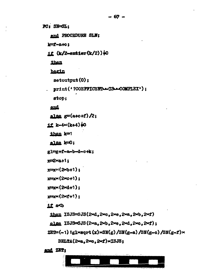PC: SN=SL:

end PROCEDURE SLN;

 $k = 1 - 8 + 3$ 

# if  $(k/2$ -entier $(k/2)$ ) $\downarrow$ 0

then

hagin

 $\mathfrak{s}$  et output  $(0)$ :

print('?COEFFICENTLLISLACOMPLEX'):

stop;

end

alse  $g = (a + c + f)/2$ ;

 $11$  k-4 $\times$ (k+4) $\pm$ 0

then k=1

alse  $k=0$ :

gl=g+f-a-b-d-c+k;

 $x = 2x + 1$ ;

 $x = x^2(26+1)$ :

 $x = x (2 \times c + 1)$ :

 $x = x * (2 * d + 1)$ :

 $x = x \times (2 \times 1 + 1)$ :

 $11aD$ 

then  $ISJS = SIS(2 \times d, 2 \times c, 2 \times e, 2 \times d, 2 \times f)$ 

else ISJS=SJS(2×a, 2×b, 2×e, 2×d, 2×c, 2×f);

 $ZER=(-1)$  ig 1×sqrt  $(x)$ ×SN $(g)$ /SN $(g-a)$ /SN $(g-c)$ /SN $(g-f)$ ×

DELTA(2xa, 2xc, 2xf) x ISJS;

and ZET;